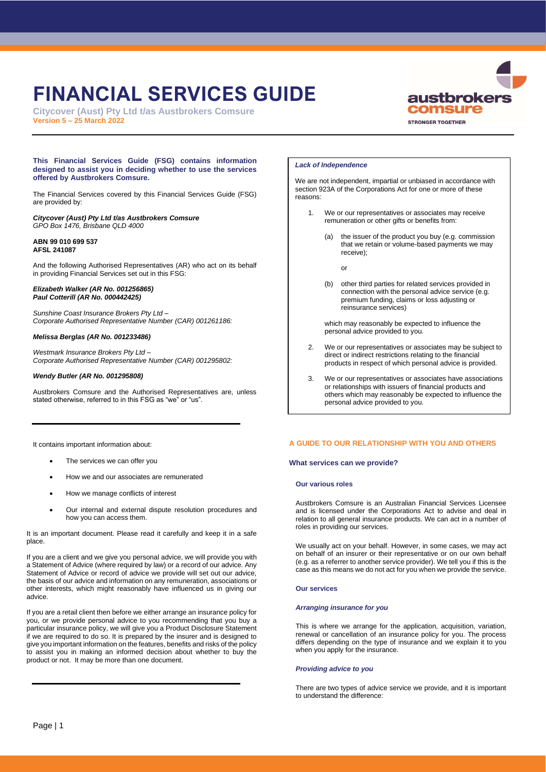# **FINANCIAL SERVICES GUIDE**

**Citycover (Aust) Pty Ltd t/as Austbrokers Comsure Version 5 – 25 March 2022**



## **This Financial Services Guide (FSG) contains information designed to assist you in deciding whether to use the services offered by Austbrokers Comsure.**

The Financial Services covered by this Financial Services Guide (FSG) are provided by:

## *Citycover (Aust) Pty Ltd t/as Austbrokers Comsure GPO Box 1476, Brisbane QLD 4000*

# **ABN 99 010 699 537 AFSL 241087**

And the following Authorised Representatives (AR) who act on its behalf in providing Financial Services set out in this FSG:

## *Elizabeth Walker (AR No. 001256865) Paul Cotterill (AR No. 000442425)*

*Sunshine Coast Insurance Brokers Pty Ltd – Corporate Authorised Representative Number (CAR) 001261186:*

# *Melissa Berglas (AR No. 001233486)*

*Westmark Insurance Brokers Pty Ltd – Corporate Authorised Representative Number (CAR) 001295802:*

# *Wendy Butler (AR No. 001295808)*

Austbrokers Comsure and the Authorised Representatives are, unless stated otherwise, referred to in this FSG as "we" or "us".

# *Lack of Independence*

We are not independent, impartial or unbiased in accordance with section 923A of the Corporations Act for one or more of these reasons:

- 1. We or our representatives or associates may receive remuneration or other gifts or benefits from:
	- (a) the issuer of the product you buy (e.g. commission that we retain or volume-based payments we may receive);

or

(b) other third parties for related services provided in connection with the personal advice service (e.g. premium funding, claims or loss adjusting or reinsurance services)

which may reasonably be expected to influence the personal advice provided to you.

- 2. We or our representatives or associates may be subject to direct or indirect restrictions relating to the financial products in respect of which personal advice is provided.
- 3. We or our representatives or associates have associations or relationships with issuers of financial products and others which may reasonably be expected to influence the personal advice provided to you.

It contains important information about:

- The services we can offer you
- How we and our associates are remunerated
- How we manage conflicts of interest
- Our internal and external dispute resolution procedures and how you can access them.

It is an important document. Please read it carefully and keep it in a safe place.

If you are a client and we give you personal advice, we will provide you with a Statement of Advice (where required by law) or a record of our advice. Any Statement of Advice or record of advice we provide will set out our advice, the basis of our advice and information on any remuneration, associations or other interests, which might reasonably have influenced us in giving our advice.

If you are a retail client then before we either arrange an insurance policy for you, or we provide personal advice to you recommending that you buy a particular insurance policy, we will give you a Product Disclosure Statement if we are required to do so. It is prepared by the insurer and is designed to give you important information on the features, benefits and risks of the policy to assist you in making an informed decision about whether to buy the product or not. It may be more than one document.

# **A GUIDE TO OUR RELATIONSHIP WITH YOU AND OTHERS**

# **What services can we provide?**

# **Our various roles**

Austbrokers Comsure is an Australian Financial Services Licensee and is licensed under the Corporations Act to advise and deal in relation to all general insurance products. We can act in a number of roles in providing our services.

We usually act on your behalf. However, in some cases, we may act on behalf of an insurer or their representative or on our own behalf (e.g. as a referrer to another service provider). We tell you if this is the case as this means we do not act for you when we provide the service.

# **Our services**

# *Arranging insurance for you*

This is where we arrange for the application, acquisition, variation, renewal or cancellation of an insurance policy for you. The process differs depending on the type of insurance and we explain it to you when you apply for the insurance.

# *Providing advice to you*

There are two types of advice service we provide, and it is important to understand the difference: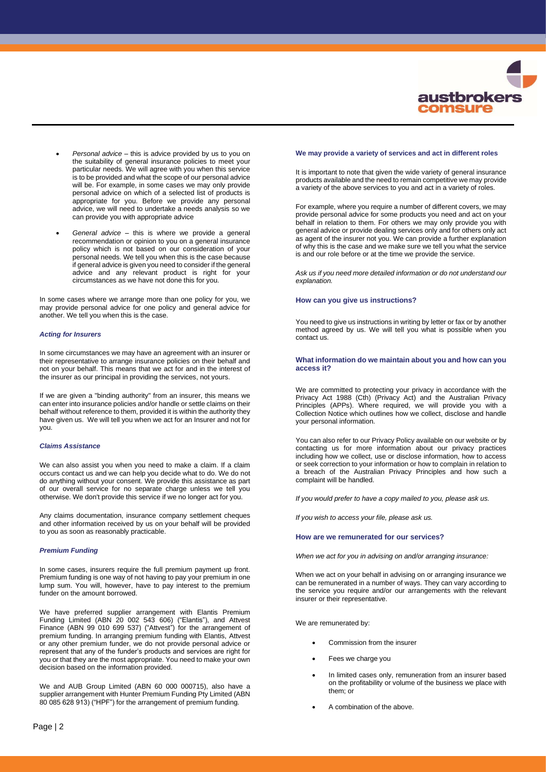

- *Personal advice* this is advice provided by us to you on the suitability of general insurance policies to meet your particular needs. We will agree with you when this service is to be provided and what the scope of our personal advice will be. For example, in some cases we may only provide personal advice on which of a selected list of products is appropriate for you. Before we provide any personal advice, we will need to undertake a needs analysis so we can provide you with appropriate advice
- *General advice* this is where we provide a general recommendation or opinion to you on a general insurance policy which is not based on our consideration of your personal needs. We tell you when this is the case because if general advice is given you need to consider if the general advice and any relevant product is right for your circumstances as we have not done this for you.

In some cases where we arrange more than one policy for you, we may provide personal advice for one policy and general advice for another. We tell you when this is the case.

## *Acting for Insurers*

In some circumstances we may have an agreement with an insurer or their representative to arrange insurance policies on their behalf and not on your behalf. This means that we act for and in the interest of the insurer as our principal in providing the services, not yours.

If we are given a "binding authority" from an insurer, this means we can enter into insurance policies and/or handle or settle claims on their behalf without reference to them, provided it is within the authority they have given us. We will tell you when we act for an Insurer and not for you.

## *Claims Assistance*

We can also assist you when you need to make a claim. If a claim occurs contact us and we can help you decide what to do. We do not do anything without your consent. We provide this assistance as part of our overall service for no separate charge unless we tell you otherwise. We don't provide this service if we no longer act for you.

Any claims documentation, insurance company settlement cheques and other information received by us on your behalf will be provided to you as soon as reasonably practicable.

## *Premium Funding*

In some cases, insurers require the full premium payment up front. Premium funding is one way of not having to pay your premium in one lump sum. You will, however, have to pay interest to the premium funder on the amount borrowed.

We have preferred supplier arrangement with Elantis Premium Funding Limited (ABN 20 002 543 606) ("Elantis"), and Attvest Finance (ABN 99 010 699 537) ("Attvest") for the arrangement of premium funding. In arranging premium funding with Elantis, Attvest or any other premium funder, we do not provide personal advice or represent that any of the funder's products and services are right for you or that they are the most appropriate. You need to make your own decision based on the information provided.

We and AUB Group Limited (ABN 60 000 000715), also have a supplier arrangement with Hunter Premium Funding Pty Limited (ABN 80 085 628 913) ("HPF") for the arrangement of premium funding.

#### **We may provide a variety of services and act in different roles**

It is important to note that given the wide variety of general insurance products available and the need to remain competitive we may provide a variety of the above services to you and act in a variety of roles.

For example, where you require a number of different covers, we may provide personal advice for some products you need and act on your behalf in relation to them. For others we may only provide you with general advice or provide dealing services only and for others only act as agent of the insurer not you. We can provide a further explanation of why this is the case and we make sure we tell you what the service is and our role before or at the time we provide the service.

*Ask us if you need more detailed information or do not understand our explanation.*

## **How can you give us instructions?**

You need to give us instructions in writing by letter or fax or by another method agreed by us. We will tell you what is possible when you contact us.

## **What information do we maintain about you and how can you access it?**

We are committed to protecting your privacy in accordance with the Privacy Act 1988 (Cth) (Privacy Act) and the Australian Privacy Principles (APPs). Where required, we will provide you with a Collection Notice which outlines how we collect, disclose and handle your personal information.

You can also refer to our Privacy Policy available on our website or by contacting us for more information about our privacy practices including how we collect, use or disclose information, how to access or seek correction to your information or how to complain in relation to a breach of the Australian Privacy Principles and how such a complaint will be handled.

*If you would prefer to have a copy mailed to you, please ask us.*

*If you wish to access your file, please ask us.*

#### **How are we remunerated for our services?**

*When we act for you in advising on and/or arranging insurance:*

When we act on your behalf in advising on or arranging insurance we can be remunerated in a number of ways. They can vary according to the service you require and/or our arrangements with the relevant insurer or their representative.

We are remunerated by:

- Commission from the insurer
- Fees we charge you
- In limited cases only, remuneration from an insurer based on the profitability or volume of the business we place with them; or
- A combination of the above.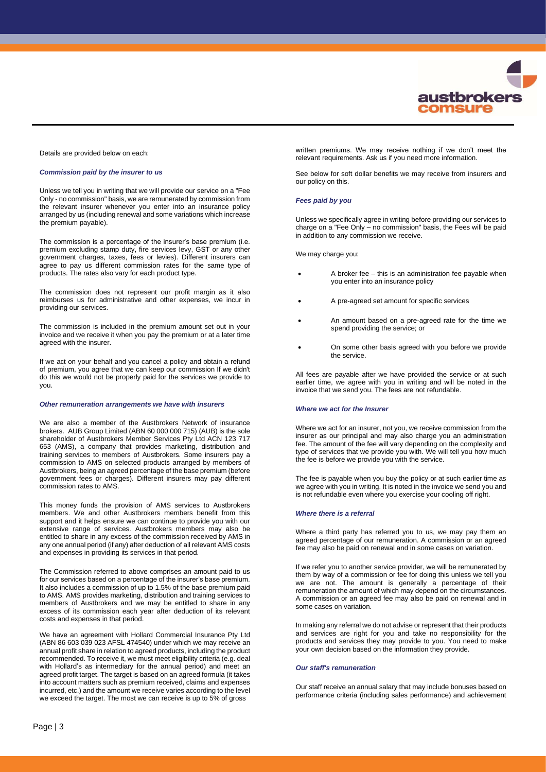

#### Details are provided below on each:

## *Commission paid by the insurer to us*

Unless we tell you in writing that we will provide our service on a "Fee Only - no commission" basis, we are remunerated by commission from the relevant insurer whenever you enter into an insurance policy arranged by us (including renewal and some variations which increase the premium payable).

The commission is a percentage of the insurer's base premium (i.e. premium excluding stamp duty, fire services levy, GST or any other government charges, taxes, fees or levies). Different insurers can agree to pay us different commission rates for the same type of products. The rates also vary for each product type.

The commission does not represent our profit margin as it also reimburses us for administrative and other expenses, we incur in providing our services.

The commission is included in the premium amount set out in your invoice and we receive it when you pay the premium or at a later time agreed with the insurer.

If we act on your behalf and you cancel a policy and obtain a refund of premium, you agree that we can keep our commission If we didn't do this we would not be properly paid for the services we provide to you.

#### *Other remuneration arrangements we have with insurers*

We are also a member of the Austbrokers Network of insurance brokers. AUB Group Limited (ABN 60 000 000 715) (AUB) is the sole shareholder of Austbrokers Member Services Pty Ltd ACN 123 717 653 (AMS), a company that provides marketing, distribution and training services to members of Austbrokers. Some insurers pay a commission to AMS on selected products arranged by members of Austbrokers, being an agreed percentage of the base premium (before government fees or charges). Different insurers may pay different commission rates to AMS.

This money funds the provision of AMS services to Austbrokers members. We and other Austbrokers members benefit from this support and it helps ensure we can continue to provide you with our extensive range of services. Austbrokers members may also be entitled to share in any excess of the commission received by AMS in any one annual period (if any) after deduction of all relevant AMS costs and expenses in providing its services in that period.

The Commission referred to above comprises an amount paid to us for our services based on a percentage of the insurer's base premium. It also includes a commission of up to 1.5% of the base premium paid to AMS. AMS provides marketing, distribution and training services to members of Austbrokers and we may be entitled to share in any excess of its commission each year after deduction of its relevant costs and expenses in that period.

We have an agreement with Hollard Commercial Insurance Pty Ltd (ABN 86 603 039 023 AFSL 474540) under which we may receive an annual profit share in relation to agreed products, including the product recommended. To receive it, we must meet eligibility criteria (e.g. deal with Hollard's as intermediary for the annual period) and meet an agreed profit target. The target is based on an agreed formula (it takes into account matters such as premium received, claims and expenses incurred, etc.) and the amount we receive varies according to the level we exceed the target. The most we can receive is up to 5% of gross

written premiums. We may receive nothing if we don't meet the relevant requirements. Ask us if you need more information.

See below for soft dollar benefits we may receive from insurers and our policy on this.

## *Fees paid by you*

Unless we specifically agree in writing before providing our services to charge on a "Fee Only – no commission" basis, the Fees will be paid in addition to any commission we receive.

We may charge you:

- A broker fee this is an administration fee payable when you enter into an insurance policy
- A pre-agreed set amount for specific services
- An amount based on a pre-agreed rate for the time we spend providing the service; or
- On some other basis agreed with you before we provide the service.

All fees are payable after we have provided the service or at such earlier time, we agree with you in writing and will be noted in the invoice that we send you. The fees are not refundable.

## *Where we act for the Insurer*

Where we act for an insurer, not you, we receive commission from the insurer as our principal and may also charge you an administration fee. The amount of the fee will vary depending on the complexity and type of services that we provide you with. We will tell you how much the fee is before we provide you with the service.

The fee is payable when you buy the policy or at such earlier time as we agree with you in writing. It is noted in the invoice we send you and is not refundable even where you exercise your cooling off right.

#### *Where there is a referral*

Where a third party has referred you to us, we may pay them an agreed percentage of our remuneration. A commission or an agreed fee may also be paid on renewal and in some cases on variation.

If we refer you to another service provider, we will be remunerated by them by way of a commission or fee for doing this unless we tell you we are not. The amount is generally a percentage of their remuneration the amount of which may depend on the circumstances. A commission or an agreed fee may also be paid on renewal and in some cases on variation.

In making any referral we do not advise or represent that their products and services are right for you and take no responsibility for the products and services they may provide to you. You need to make your own decision based on the information they provide.

## *Our staff's remuneration*

Our staff receive an annual salary that may include bonuses based on performance criteria (including sales performance) and achievement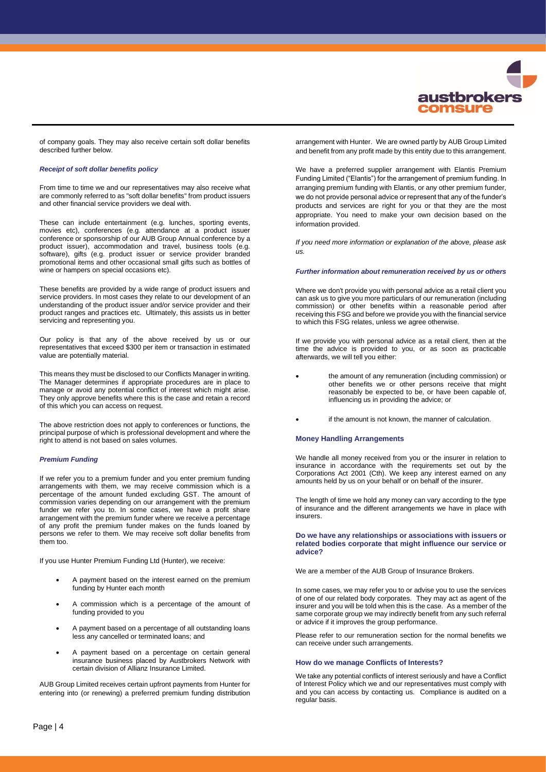

of company goals. They may also receive certain soft dollar benefits described further below.

#### *Receipt of soft dollar benefits policy*

From time to time we and our representatives may also receive what are commonly referred to as "soft dollar benefits" from product issuers and other financial service providers we deal with.

These can include entertainment (e.g. lunches, sporting events, movies etc), conferences (e.g. attendance at a product issuer conference or sponsorship of our AUB Group Annual conference by a product issuer), accommodation and travel, business tools (e.g. software), gifts (e.g. product issuer or service provider branded promotional items and other occasional small gifts such as bottles of wine or hampers on special occasions etc).

These benefits are provided by a wide range of product issuers and service providers. In most cases they relate to our development of an understanding of the product issuer and/or service provider and their product ranges and practices etc. Ultimately, this assists us in better servicing and representing you.

Our policy is that any of the above received by us or our representatives that exceed \$300 per item or transaction in estimated value are potentially material.

This means they must be disclosed to our Conflicts Manager in writing. The Manager determines if appropriate procedures are in place to manage or avoid any potential conflict of interest which might arise. They only approve benefits where this is the case and retain a record of this which you can access on request.

The above restriction does not apply to conferences or functions, the principal purpose of which is professional development and where the right to attend is not based on sales volumes.

#### *Premium Funding*

If we refer you to a premium funder and you enter premium funding arrangements with them, we may receive commission which is a percentage of the amount funded excluding GST. The amount of commission varies depending on our arrangement with the premium funder we refer you to. In some cases, we have a profit share arrangement with the premium funder where we receive a percentage of any profit the premium funder makes on the funds loaned by persons we refer to them. We may receive soft dollar benefits from them too.

If you use Hunter Premium Funding Ltd (Hunter), we receive:

- A payment based on the interest earned on the premium funding by Hunter each month
- A commission which is a percentage of the amount of funding provided to you
- A payment based on a percentage of all outstanding loans less any cancelled or terminated loans; and
- A payment based on a percentage on certain general insurance business placed by Austbrokers Network with certain division of Allianz Insurance Limited.

AUB Group Limited receives certain upfront payments from Hunter for entering into (or renewing) a preferred premium funding distribution arrangement with Hunter. We are owned partly by AUB Group Limited and benefit from any profit made by this entity due to this arrangement.

We have a preferred supplier arrangement with Elantis Premium Funding Limited ("Elantis") for the arrangement of premium funding. In arranging premium funding with Elantis, or any other premium funder, we do not provide personal advice or represent that any of the funder's products and services are right for you or that they are the most appropriate. You need to make your own decision based on the information provided.

*If you need more information or explanation of the above, please ask us.*

#### *Further information about remuneration received by us or others*

Where we don't provide you with personal advice as a retail client you can ask us to give you more particulars of our remuneration (including commission) or other benefits within a reasonable period after receiving this FSG and before we provide you with the financial service to which this FSG relates, unless we agree otherwise.

If we provide you with personal advice as a retail client, then at the time the advice is provided to you, or as soon as practicable afterwards, we will tell you either:

- the amount of any remuneration (including commission) or other benefits we or other persons receive that might reasonably be expected to be, or have been capable of, influencing us in providing the advice; or
- if the amount is not known, the manner of calculation.

## **Money Handling Arrangements**

We handle all money received from you or the insurer in relation to insurance in accordance with the requirements set out by the Corporations Act 2001 (Cth). We keep any interest earned on any amounts held by us on your behalf or on behalf of the insurer.

The length of time we hold any money can vary according to the type of insurance and the different arrangements we have in place with insurers.

## **Do we have any relationships or associations with issuers or related bodies corporate that might influence our service or advice?**

We are a member of the AUB Group of Insurance Brokers.

In some cases, we may refer you to or advise you to use the services of one of our related body corporates. They may act as agent of the insurer and you will be told when this is the case. As a member of the same corporate group we may indirectly benefit from any such referral or advice if it improves the group performance.

Please refer to our remuneration section for the normal benefits we can receive under such arrangements.

## **How do we manage Conflicts of Interests?**

We take any potential conflicts of interest seriously and have a Conflict of Interest Policy which we and our representatives must comply with and you can access by contacting us. Compliance is audited on a regular basis.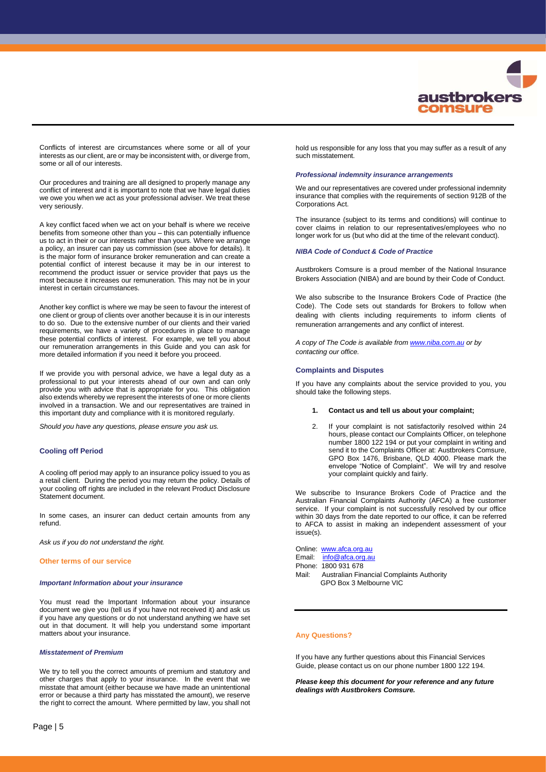

Conflicts of interest are circumstances where some or all of your interests as our client, are or may be inconsistent with, or diverge from, some or all of our interests.

Our procedures and training are all designed to properly manage any conflict of interest and it is important to note that we have legal duties we owe you when we act as your professional adviser. We treat these very seriously.

A key conflict faced when we act on your behalf is where we receive benefits from someone other than you – this can potentially influence us to act in their or our interests rather than yours. Where we arrange a policy, an insurer can pay us commission (see above for details). It is the major form of insurance broker remuneration and can create a potential conflict of interest because it may be in our interest to recommend the product issuer or service provider that pays us the most because it increases our remuneration. This may not be in your interest in certain circumstances.

Another key conflict is where we may be seen to favour the interest of one client or group of clients over another because it is in our interests to do so. Due to the extensive number of our clients and their varied requirements, we have a variety of procedures in place to manage these potential conflicts of interest. For example, we tell you about our remuneration arrangements in this Guide and you can ask for more detailed information if you need it before you proceed.

If we provide you with personal advice, we have a legal duty as a professional to put your interests ahead of our own and can only provide you with advice that is appropriate for you. This obligation also extends whereby we represent the interests of one or more clients involved in a transaction. We and our representatives are trained in this important duty and compliance with it is monitored regularly.

*Should you have any questions, please ensure you ask us.*

## **Cooling off Period**

A cooling off period may apply to an insurance policy issued to you as a retail client. During the period you may return the policy. Details of your cooling off rights are included in the relevant Product Disclosure Statement document.

In some cases, an insurer can deduct certain amounts from any refund.

*Ask us if you do not understand the right.*

## **Other terms of our service**

#### *Important Information about your insurance*

You must read the Important Information about your insurance document we give you (tell us if you have not received it) and ask us if you have any questions or do not understand anything we have set out in that document. It will help you understand some important matters about your insurance.

#### *Misstatement of Premium*

We try to tell you the correct amounts of premium and statutory and other charges that apply to your insurance. In the event that we misstate that amount (either because we have made an unintentional error or because a third party has misstated the amount), we reserve the right to correct the amount. Where permitted by law, you shall not hold us responsible for any loss that you may suffer as a result of any such misstatement.

## *Professional indemnity insurance arrangements*

We and our representatives are covered under professional indemnity insurance that complies with the requirements of section 912B of the Corporations Act.

The insurance (subject to its terms and conditions) will continue to cover claims in relation to our representatives/employees who no longer work for us (but who did at the time of the relevant conduct).

#### *NIBA Code of Conduct & Code of Practice*

Austbrokers Comsure is a proud member of the National Insurance Brokers Association (NIBA) and are bound by their Code of Conduct.

We also subscribe to the Insurance Brokers Code of Practice (the Code). The Code sets out standards for Brokers to follow when dealing with clients including requirements to inform clients of remuneration arrangements and any conflict of interest.

*A copy of The Code is available fro[m www.niba.com.au](http://www.niba.com.au/) or by contacting our office.*

#### **Complaints and Disputes**

If you have any complaints about the service provided to you, you should take the following steps.

#### **1. Contact us and tell us about your complaint;**

2. If your complaint is not satisfactorily resolved within 24 hours, please contact our Complaints Officer, on telephone number 1800 122 194 or put your complaint in writing and send it to the Complaints Officer at: Austbrokers Comsure, GPO Box 1476, Brisbane, QLD 4000. Please mark the envelope "Notice of Complaint". We will try and resolve your complaint quickly and fairly.

We subscribe to Insurance Brokers Code of Practice and the Australian Financial Complaints Authority (AFCA) a free customer service. If your complaint is not successfully resolved by our office within 30 days from the date reported to our office, it can be referred to AFCA to assist in making an independent assessment of your issue(s).

Online: [www.afca.org.au](http://www.afca.org.au/) Email: [info@afca.org.au](mailto:info@afca.org.au) Phone: 1800 931 678 Mail: Australian Financial Complaints Authority GPO Box 3 Melbourne VIC

## **Any Questions?**

If you have any further questions about this Financial Services Guide, please contact us on our phone number 1800 122 194.

*Please keep this document for your reference and any future dealings with Austbrokers Comsure.*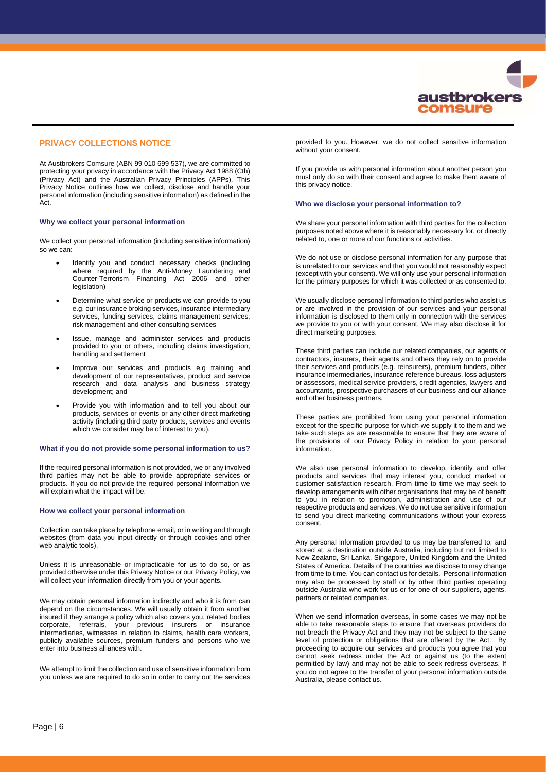

# **PRIVACY COLLECTIONS NOTICE**

At Austbrokers Comsure (ABN 99 010 699 537), we are committed to protecting your privacy in accordance with the Privacy Act 1988 (Cth) (Privacy Act) and the Australian Privacy Principles (APPs). This Privacy Notice outlines how we collect, disclose and handle your personal information (including sensitive information) as defined in the Act.

#### **Why we collect your personal information**

We collect your personal information (including sensitive information) so we can:

- Identify you and conduct necessary checks (including where required by the Anti-Money Laundering and Counter-Terrorism Financing Act 2006 and other legislation)
- Determine what service or products we can provide to you e.g. our insurance broking services, insurance intermediary services, funding services, claims management services, risk management and other consulting services
- Issue, manage and administer services and products provided to you or others, including claims investigation, handling and settlement
- Improve our services and products e.g training and development of our representatives, product and service research and data analysis and business strategy development; and
- Provide you with information and to tell you about our products, services or events or any other direct marketing activity (including third party products, services and events which we consider may be of interest to you).

# **What if you do not provide some personal information to us?**

If the required personal information is not provided, we or any involved third parties may not be able to provide appropriate services or products. If you do not provide the required personal information we will explain what the impact will be.

#### **How we collect your personal information**

Collection can take place by telephone email, or in writing and through websites (from data you input directly or through cookies and other web analytic tools).

Unless it is unreasonable or impracticable for us to do so, or as provided otherwise under this Privacy Notice or our Privacy Policy, we will collect your information directly from you or your agents.

We may obtain personal information indirectly and who it is from can depend on the circumstances. We will usually obtain it from another insured if they arrange a policy which also covers you, related bodies corporate, referrals, your previous insurers or insurance intermediaries, witnesses in relation to claims, health care workers, publicly available sources, premium funders and persons who we enter into business alliances with.

We attempt to limit the collection and use of sensitive information from you unless we are required to do so in order to carry out the services provided to you. However, we do not collect sensitive information without your consent.

If you provide us with personal information about another person you must only do so with their consent and agree to make them aware of this privacy notice.

#### **Who we disclose your personal information to?**

We share your personal information with third parties for the collection purposes noted above where it is reasonably necessary for, or directly related to, one or more of our functions or activities.

We do not use or disclose personal information for any purpose that is unrelated to our services and that you would not reasonably expect (except with your consent). We will only use your personal information for the primary purposes for which it was collected or as consented to.

We usually disclose personal information to third parties who assist us or are involved in the provision of our services and your personal information is disclosed to them only in connection with the services we provide to you or with your consent. We may also disclose it for direct marketing purposes.

These third parties can include our related companies, our agents or contractors, insurers, their agents and others they rely on to provide their services and products (e.g. reinsurers), premium funders, other insurance intermediaries, insurance reference bureaus, loss adjusters or assessors, medical service providers, credit agencies, lawyers and accountants, prospective purchasers of our business and our alliance and other business partners.

These parties are prohibited from using your personal information except for the specific purpose for which we supply it to them and we take such steps as are reasonable to ensure that they are aware of the provisions of our Privacy Policy in relation to your personal information.

We also use personal information to develop, identify and offer products and services that may interest you, conduct market or customer satisfaction research. From time to time we may seek to develop arrangements with other organisations that may be of benefit to you in relation to promotion, administration and use of our respective products and services. We do not use sensitive information to send you direct marketing communications without your express consent.

Any personal information provided to us may be transferred to, and stored at, a destination outside Australia, including but not limited to New Zealand, Sri Lanka, Singapore, United Kingdom and the United States of America. Details of the countries we disclose to may change from time to time. You can contact us for details. Personal information may also be processed by staff or by other third parties operating outside Australia who work for us or for one of our suppliers, agents, partners or related companies.

When we send information overseas, in some cases we may not be able to take reasonable steps to ensure that overseas providers do not breach the Privacy Act and they may not be subject to the same level of protection or obligations that are offered by the Act. By proceeding to acquire our services and products you agree that you cannot seek redress under the Act or against us (to the extent permitted by law) and may not be able to seek redress overseas. If you do not agree to the transfer of your personal information outside Australia, please contact us.